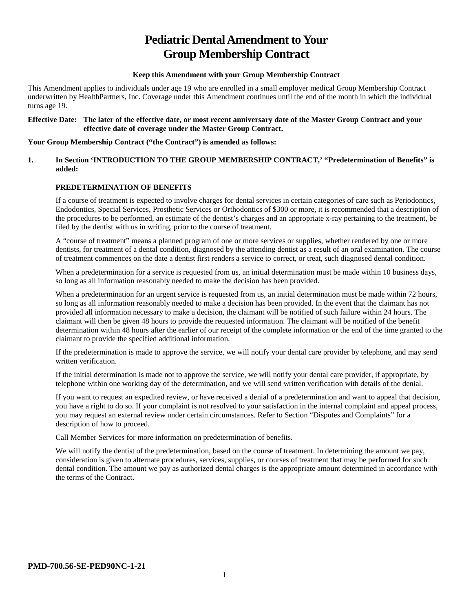# **Pediatric Dental Amendment to Your Group Membership Contract**

## **Keep this Amendment with your Group Membership Contract**

This Amendment applies to individuals under age 19 who are enrolled in a small employer medical Group Membership Contract underwritten by HealthPartners, Inc. Coverage under this Amendment continues until the end of the month in which the individual turns age 19.

#### **Effective Date: The later of the effective date, or most recent anniversary date of the Master Group Contract and your effective date of coverage under the Master Group Contract.**

### **Your Group Membership Contract ("the Contract") is amended as follows:**

### **1. In Section 'INTRODUCTION TO THE GROUP MEMBERSHIP CONTRACT,' "Predetermination of Benefits" is added:**

## **PREDETERMINATION OF BENEFITS**

If a course of treatment is expected to involve charges for dental services in certain categories of care such as Periodontics, Endodontics, Special Services, Prosthetic Services or Orthodontics of \$300 or more, it is recommended that a description of the procedures to be performed, an estimate of the dentist's charges and an appropriate x-ray pertaining to the treatment, be filed by the dentist with us in writing, prior to the course of treatment.

A "course of treatment" means a planned program of one or more services or supplies, whether rendered by one or more dentists, for treatment of a dental condition, diagnosed by the attending dentist as a result of an oral examination. The course of treatment commences on the date a dentist first renders a service to correct, or treat, such diagnosed dental condition.

When a predetermination for a service is requested from us, an initial determination must be made within 10 business days, so long as all information reasonably needed to make the decision has been provided.

When a predetermination for an urgent service is requested from us, an initial determination must be made within 72 hours, so long as all information reasonably needed to make a decision has been provided. In the event that the claimant has not provided all information necessary to make a decision, the claimant will be notified of such failure within 24 hours. The claimant will then be given 48 hours to provide the requested information. The claimant will be notified of the benefit determination within 48 hours after the earlier of our receipt of the complete information or the end of the time granted to the claimant to provide the specified additional information.

If the predetermination is made to approve the service, we will notify your dental care provider by telephone, and may send written verification.

If the initial determination is made not to approve the service, we will notify your dental care provider, if appropriate, by telephone within one working day of the determination, and we will send written verification with details of the denial.

If you want to request an expedited review, or have received a denial of a predetermination and want to appeal that decision, you have a right to do so. If your complaint is not resolved to your satisfaction in the internal complaint and appeal process, you may request an external review under certain circumstances. Refer to Section "Disputes and Complaints" for a description of how to proceed.

Call Member Services for more information on predetermination of benefits.

We will notify the dentist of the predetermination, based on the course of treatment. In determining the amount we pay, consideration is given to alternate procedures, services, supplies, or courses of treatment that may be performed for such dental condition. The amount we pay as authorized dental charges is the appropriate amount determined in accordance with the terms of the Contract.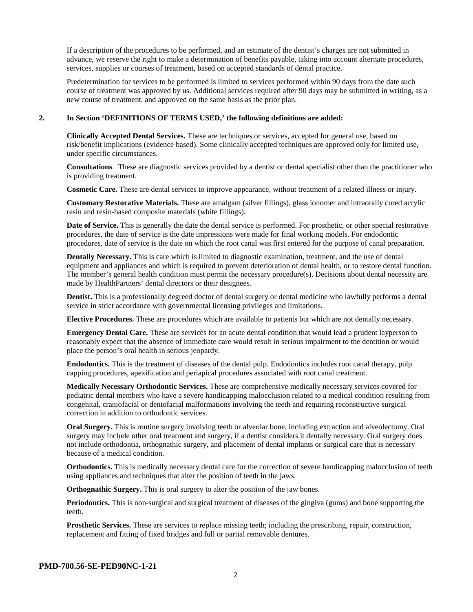If a description of the procedures to be performed, and an estimate of the dentist's charges are not submitted in advance, we reserve the right to make a determination of benefits payable, taking into account alternate procedures, services, supplies or courses of treatment, based on accepted standards of dental practice.

Predetermination for services to be performed is limited to services performed within 90 days from the date such course of treatment was approved by us. Additional services required after 90 days may be submitted in writing, as a new course of treatment, and approved on the same basis as the prior plan.

#### **2. In Section 'DEFINITIONS OF TERMS USED,' the following definitions are added:**

**Clinically Accepted Dental Services.** These are techniques or services, accepted for general use, based on risk/benefit implications (evidence based). Some clinically accepted techniques are approved only for limited use, under specific circumstances.

**Consultations**. These are diagnostic services provided by a dentist or dental specialist other than the practitioner who is providing treatment.

**Cosmetic Care.** These are dental services to improve appearance, without treatment of a related illness or injury.

**Customary Restorative Materials.** These are amalgam (silver fillings), glass ionomer and intraorally cured acrylic resin and resin-based composite materials (white fillings).

**Date of Service.** This is generally the date the dental service is performed. For prosthetic, or other special restorative procedures, the date of service is the date impressions were made for final working models. For endodontic procedures, date of service is the date on which the root canal was first entered for the purpose of canal preparation.

**Dentally Necessary.** This is care which is limited to diagnostic examination, treatment, and the use of dental equipment and appliances and which is required to prevent deterioration of dental health, or to restore dental function. The member's general health condition must permit the necessary procedure(s). Decisions about dental necessity are made by HealthPartners' dental directors or their designees.

**Dentist.** This is a professionally degreed doctor of dental surgery or dental medicine who lawfully performs a dental service in strict accordance with governmental licensing privileges and limitations.

**Elective Procedures.** These are procedures which are available to patients but which are not dentally necessary.

**Emergency Dental Care.** These are services for an acute dental condition that would lead a prudent layperson to reasonably expect that the absence of immediate care would result in serious impairment to the dentition or would place the person's oral health in serious jeopardy.

**Endodontics.** This is the treatment of diseases of the dental pulp. Endodontics includes root canal therapy, pulp capping procedures, apexification and periapical procedures associated with root canal treatment.

**Medically Necessary Orthodontic Services.** These are comprehensive medically necessary services covered for pediatric dental members who have a severe handicapping malocclusion related to a medical condition resulting from congenital, craniofacial or dentofacial malformations involving the teeth and requiring reconstructive surgical correction in addition to orthodontic services.

**Oral Surgery.** This is routine surgery involving teeth or alveolar bone, including extraction and alveolectomy. Oral surgery may include other oral treatment and surgery, if a dentist considers it dentally necessary. Oral surgery does not include orthodontia, orthognathic surgery, and placement of dental implants or surgical care that is necessary because of a medical condition.

**Orthodontics.** This is medically necessary dental care for the correction of severe handicapping malocclusion of teeth using appliances and techniques that alter the position of teeth in the jaws.

**Orthognathic Surgery.** This is oral surgery to alter the position of the jaw bones.

**Periodontics.** This is non-surgical and surgical treatment of diseases of the gingiva (gums) and bone supporting the teeth.

**Prosthetic Services.** These are services to replace missing teeth; including the prescribing, repair, construction, replacement and fitting of fixed bridges and full or partial removable dentures.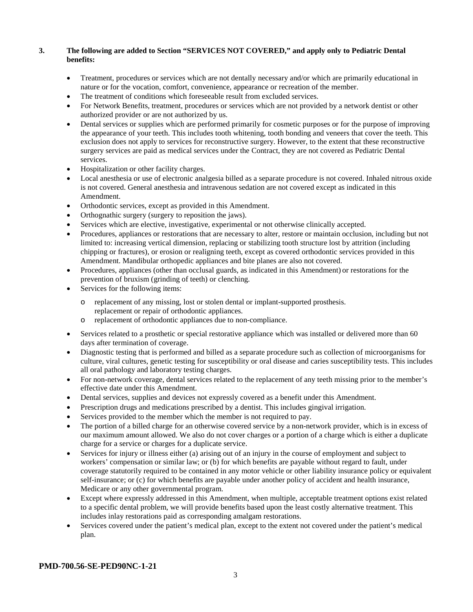## **3. The following are added to Section "SERVICES NOT COVERED," and apply only to Pediatric Dental benefits:**

- Treatment, procedures or services which are not dentally necessary and/or which are primarily educational in nature or for the vocation, comfort, convenience, appearance or recreation of the member.
- The treatment of conditions which foreseeable result from excluded services.
- For Network Benefits, treatment, procedures or services which are not provided by a network dentist or other authorized provider or are not authorized by us.
- Dental services or supplies which are performed primarily for cosmetic purposes or for the purpose of improving the appearance of your teeth. This includes tooth whitening, tooth bonding and veneers that cover the teeth. This exclusion does not apply to services for reconstructive surgery. However, to the extent that these reconstructive surgery services are paid as medical services under the Contract, they are not covered as Pediatric Dental services.
- Hospitalization or other facility charges.
- Local anesthesia or use of electronic analgesia billed as a separate procedure is not covered. Inhaled nitrous oxide is not covered. General anesthesia and intravenous sedation are not covered except as indicated in this Amendment.
- Orthodontic services, except as provided in this Amendment.
- Orthognathic surgery (surgery to reposition the jaws).
- Services which are elective, investigative, experimental or not otherwise clinically accepted.
- Procedures, appliances or restorations that are necessary to alter, restore or maintain occlusion, including but not limited to: increasing vertical dimension, replacing or stabilizing tooth structure lost by attrition (including chipping or fractures), or erosion or realigning teeth, except as covered orthodontic services provided in this Amendment. Mandibular orthopedic appliances and bite planes are also not covered.
- Procedures, appliances (other than occlusal guards, as indicated in this Amendment) or restorations for the prevention of bruxism (grinding of teeth) or clenching.
- Services for the following items:
	- o replacement of any missing, lost or stolen dental or implant-supported prosthesis. replacement or repair of orthodontic appliances.
	- o replacement of orthodontic appliances due to non-compliance.
- Services related to a prosthetic or special restorative appliance which was installed or delivered more than 60 days after termination of coverage.
- Diagnostic testing that is performed and billed as a separate procedure such as collection of microorganisms for culture, viral cultures, genetic testing for susceptibility or oral disease and caries susceptibility tests. This includes all oral pathology and laboratory testing charges.
- For non-network coverage, dental services related to the replacement of any teeth missing prior to the member's effective date under this Amendment.
- Dental services, supplies and devices not expressly covered as a benefit under this Amendment.
- Prescription drugs and medications prescribed by a dentist. This includes gingival irrigation.
- Services provided to the member which the member is not required to pay.
- The portion of a billed charge for an otherwise covered service by a non-network provider, which is in excess of our maximum amount allowed. We also do not cover charges or a portion of a charge which is either a duplicate charge for a service or charges for a duplicate service.
- Services for injury or illness either (a) arising out of an injury in the course of employment and subject to workers' compensation or similar law; or (b) for which benefits are payable without regard to fault, under coverage statutorily required to be contained in any motor vehicle or other liability insurance policy or equivalent self-insurance; or (c) for which benefits are payable under another policy of accident and health insurance, Medicare or any other governmental program.
- Except where expressly addressed in this Amendment, when multiple, acceptable treatment options exist related to a specific dental problem, we will provide benefits based upon the least costly alternative treatment. This includes inlay restorations paid as corresponding amalgam restorations.
- Services covered under the patient's medical plan, except to the extent not covered under the patient's medical plan.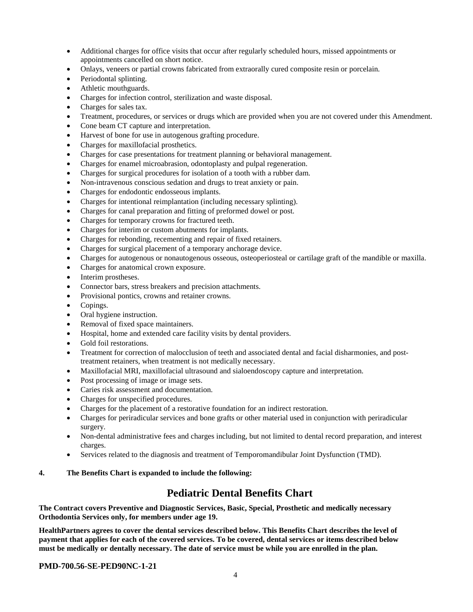- Additional charges for office visits that occur after regularly scheduled hours, missed appointments or appointments cancelled on short notice.
- Onlays, veneers or partial crowns fabricated from extraorally cured composite resin or porcelain.
- Periodontal splinting.
- Athletic mouthguards.
- Charges for infection control, sterilization and waste disposal.
- Charges for sales tax.
- Treatment, procedures, or services or drugs which are provided when you are not covered under this Amendment.
- Cone beam CT capture and interpretation.
- Harvest of bone for use in autogenous grafting procedure.
- Charges for maxillofacial prosthetics.
- Charges for case presentations for treatment planning or behavioral management.
- Charges for enamel microabrasion, odontoplasty and pulpal regeneration.
- Charges for surgical procedures for isolation of a tooth with a rubber dam.
- Non-intravenous conscious sedation and drugs to treat anxiety or pain.
- Charges for endodontic endosseous implants.
- Charges for intentional reimplantation (including necessary splinting).
- Charges for canal preparation and fitting of preformed dowel or post.
- Charges for temporary crowns for fractured teeth.
- Charges for interim or custom abutments for implants.
- Charges for rebonding, recementing and repair of fixed retainers.
- Charges for surgical placement of a temporary anchorage device.
- Charges for autogenous or nonautogenous osseous, osteoperiosteal or cartilage graft of the mandible or maxilla.
- Charges for anatomical crown exposure.
- Interim prostheses.
- Connector bars, stress breakers and precision attachments.
- Provisional pontics, crowns and retainer crowns.
- Copings.
- Oral hygiene instruction.
- Removal of fixed space maintainers.
- Hospital, home and extended care facility visits by dental providers.
- Gold foil restorations.
- Treatment for correction of malocclusion of teeth and associated dental and facial disharmonies, and posttreatment retainers, when treatment is not medically necessary.
- Maxillofacial MRI, maxillofacial ultrasound and sialoendoscopy capture and interpretation.
- Post processing of image or image sets.
- Caries risk assessment and documentation.
- Charges for unspecified procedures.
- Charges for the placement of a restorative foundation for an indirect restoration.
- Charges for periradicular services and bone grafts or other material used in conjunction with periradicular surgery.
- Non-dental administrative fees and charges including, but not limited to dental record preparation, and interest charges.
- Services related to the diagnosis and treatment of Temporomandibular Joint Dysfunction (TMD).

### **4. The Benefits Chart is expanded to include the following:**

## **Pediatric Dental Benefits Chart**

**The Contract covers Preventive and Diagnostic Services, Basic, Special, Prosthetic and medically necessary Orthodontia Services only, for members under age 19.**

**HealthPartners agrees to cover the dental services described below. This Benefits Chart describes the level of payment that applies for each of the covered services. To be covered, dental services or items described below must be medically or dentally necessary. The date of service must be while you are enrolled in the plan.**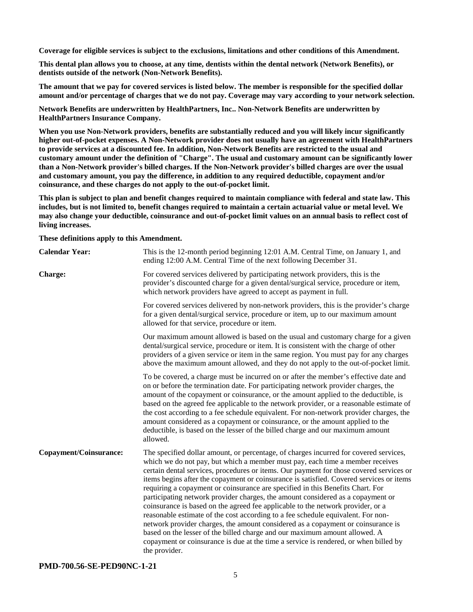**Coverage for eligible services is subject to the exclusions, limitations and other conditions of this Amendment.**

**This dental plan allows you to choose, at any time, dentists within the dental network (Network Benefits), or dentists outside of the network (Non-Network Benefits).**

**The amount that we pay for covered services is listed below. The member is responsible for the specified dollar amount and/or percentage of charges that we do not pay. Coverage may vary according to your network selection.**

**Network Benefits are underwritten by HealthPartners, Inc.. Non-Network Benefits are underwritten by HealthPartners Insurance Company.**

**When you use Non-Network providers, benefits are substantially reduced and you will likely incur significantly higher out-of-pocket expenses. A Non-Network provider does not usually have an agreement with HealthPartners to provide services at a discounted fee. In addition, Non-Network Benefits are restricted to the usual and customary amount under the definition of "Charge". The usual and customary amount can be significantly lower than a Non-Network provider's billed charges. If the Non-Network provider's billed charges are over the usual and customary amount, you pay the difference, in addition to any required deductible, copayment and/or coinsurance, and these charges do not apply to the out-of-pocket limit.**

**This plan is subject to plan and benefit changes required to maintain compliance with federal and state law. This includes, but is not limited to, benefit changes required to maintain a certain actuarial value or metal level. We may also change your deductible, coinsurance and out-of-pocket limit values on an annual basis to reflect cost of living increases.**

**These definitions apply to this Amendment.**

| <b>Calendar Year:</b>  | This is the 12-month period beginning 12:01 A.M. Central Time, on January 1, and<br>ending 12:00 A.M. Central Time of the next following December 31.                                                                                                                                                                                                                                                                                                                                                                                                                                                                                                                                                                                                                                                                                                                                                                                                                               |
|------------------------|-------------------------------------------------------------------------------------------------------------------------------------------------------------------------------------------------------------------------------------------------------------------------------------------------------------------------------------------------------------------------------------------------------------------------------------------------------------------------------------------------------------------------------------------------------------------------------------------------------------------------------------------------------------------------------------------------------------------------------------------------------------------------------------------------------------------------------------------------------------------------------------------------------------------------------------------------------------------------------------|
| Charge:                | For covered services delivered by participating network providers, this is the<br>provider's discounted charge for a given dental/surgical service, procedure or item,<br>which network providers have agreed to accept as payment in full.                                                                                                                                                                                                                                                                                                                                                                                                                                                                                                                                                                                                                                                                                                                                         |
|                        | For covered services delivered by non-network providers, this is the provider's charge<br>for a given dental/surgical service, procedure or item, up to our maximum amount<br>allowed for that service, procedure or item.                                                                                                                                                                                                                                                                                                                                                                                                                                                                                                                                                                                                                                                                                                                                                          |
|                        | Our maximum amount allowed is based on the usual and customary charge for a given<br>dental/surgical service, procedure or item. It is consistent with the charge of other<br>providers of a given service or item in the same region. You must pay for any charges<br>above the maximum amount allowed, and they do not apply to the out-of-pocket limit.                                                                                                                                                                                                                                                                                                                                                                                                                                                                                                                                                                                                                          |
|                        | To be covered, a charge must be incurred on or after the member's effective date and<br>on or before the termination date. For participating network provider charges, the<br>amount of the copayment or coinsurance, or the amount applied to the deductible, is<br>based on the agreed fee applicable to the network provider, or a reasonable estimate of<br>the cost according to a fee schedule equivalent. For non-network provider charges, the<br>amount considered as a copayment or coinsurance, or the amount applied to the<br>deductible, is based on the lesser of the billed charge and our maximum amount<br>allowed.                                                                                                                                                                                                                                                                                                                                               |
| Copayment/Coinsurance: | The specified dollar amount, or percentage, of charges incurred for covered services,<br>which we do not pay, but which a member must pay, each time a member receives<br>certain dental services, procedures or items. Our payment for those covered services or<br>items begins after the copayment or coinsurance is satisfied. Covered services or items<br>requiring a copayment or coinsurance are specified in this Benefits Chart. For<br>participating network provider charges, the amount considered as a copayment or<br>coinsurance is based on the agreed fee applicable to the network provider, or a<br>reasonable estimate of the cost according to a fee schedule equivalent. For non-<br>network provider charges, the amount considered as a copayment or coinsurance is<br>based on the lesser of the billed charge and our maximum amount allowed. A<br>copayment or coinsurance is due at the time a service is rendered, or when billed by<br>the provider. |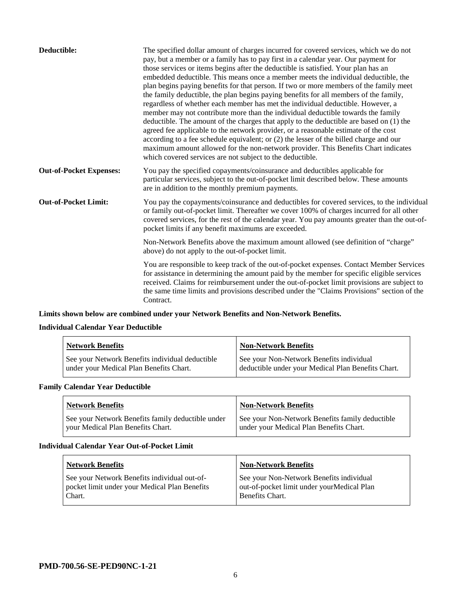| Deductible:                    | The specified dollar amount of charges incurred for covered services, which we do not<br>pay, but a member or a family has to pay first in a calendar year. Our payment for<br>those services or items begins after the deductible is satisfied. Your plan has an<br>embedded deductible. This means once a member meets the individual deductible, the<br>plan begins paying benefits for that person. If two or more members of the family meet<br>the family deductible, the plan begins paying benefits for all members of the family,<br>regardless of whether each member has met the individual deductible. However, a<br>member may not contribute more than the individual deductible towards the family<br>deductible. The amount of the charges that apply to the deductible are based on (1) the<br>agreed fee applicable to the network provider, or a reasonable estimate of the cost<br>according to a fee schedule equivalent; or (2) the lesser of the billed charge and our<br>maximum amount allowed for the non-network provider. This Benefits Chart indicates<br>which covered services are not subject to the deductible. |
|--------------------------------|--------------------------------------------------------------------------------------------------------------------------------------------------------------------------------------------------------------------------------------------------------------------------------------------------------------------------------------------------------------------------------------------------------------------------------------------------------------------------------------------------------------------------------------------------------------------------------------------------------------------------------------------------------------------------------------------------------------------------------------------------------------------------------------------------------------------------------------------------------------------------------------------------------------------------------------------------------------------------------------------------------------------------------------------------------------------------------------------------------------------------------------------------|
| <b>Out-of-Pocket Expenses:</b> | You pay the specified copayments/coinsurance and deductibles applicable for<br>particular services, subject to the out-of-pocket limit described below. These amounts<br>are in addition to the monthly premium payments.                                                                                                                                                                                                                                                                                                                                                                                                                                                                                                                                                                                                                                                                                                                                                                                                                                                                                                                        |
| <b>Out-of-Pocket Limit:</b>    | You pay the copayments/coinsurance and deductibles for covered services, to the individual<br>or family out-of-pocket limit. Thereafter we cover 100% of charges incurred for all other<br>covered services, for the rest of the calendar year. You pay amounts greater than the out-of-<br>pocket limits if any benefit maximums are exceeded.                                                                                                                                                                                                                                                                                                                                                                                                                                                                                                                                                                                                                                                                                                                                                                                                  |
|                                | Non-Network Benefits above the maximum amount allowed (see definition of "charge"<br>above) do not apply to the out-of-pocket limit.                                                                                                                                                                                                                                                                                                                                                                                                                                                                                                                                                                                                                                                                                                                                                                                                                                                                                                                                                                                                             |
|                                | You are responsible to keep track of the out-of-pocket expenses. Contact Member Services<br>for assistance in determining the amount paid by the member for specific eligible services<br>received. Claims for reimbursement under the out-of-pocket limit provisions are subject to<br>the same time limits and provisions described under the "Claims Provisions" section of the<br>Contract.                                                                                                                                                                                                                                                                                                                                                                                                                                                                                                                                                                                                                                                                                                                                                  |

## **Limits shown below are combined under your Network Benefits and Non-Network Benefits.**

## **Individual Calendar Year Deductible**

| <b>Network Benefits</b>                                                                    | <b>Non-Network Benefits</b>                                                                    |
|--------------------------------------------------------------------------------------------|------------------------------------------------------------------------------------------------|
| See your Network Benefits individual deductible<br>under your Medical Plan Benefits Chart. | See your Non-Network Benefits individual<br>deductible under your Medical Plan Benefits Chart. |

## **Family Calendar Year Deductible**

| <b>Network Benefits</b>                                                                | <b>Non-Network Benefits</b>                                                                |
|----------------------------------------------------------------------------------------|--------------------------------------------------------------------------------------------|
| See your Network Benefits family deductible under<br>vour Medical Plan Benefits Chart. | See your Non-Network Benefits family deductible<br>under your Medical Plan Benefits Chart. |

### **Individual Calendar Year Out-of-Pocket Limit**

| <b>Network Benefits</b>                                                                                 | <b>Non-Network Benefits</b>                                                                               |
|---------------------------------------------------------------------------------------------------------|-----------------------------------------------------------------------------------------------------------|
| See your Network Benefits individual out-of-<br>pocket limit under your Medical Plan Benefits<br>Chart. | See your Non-Network Benefits individual<br>out-of-pocket limit under yourMedical Plan<br>Benefits Chart. |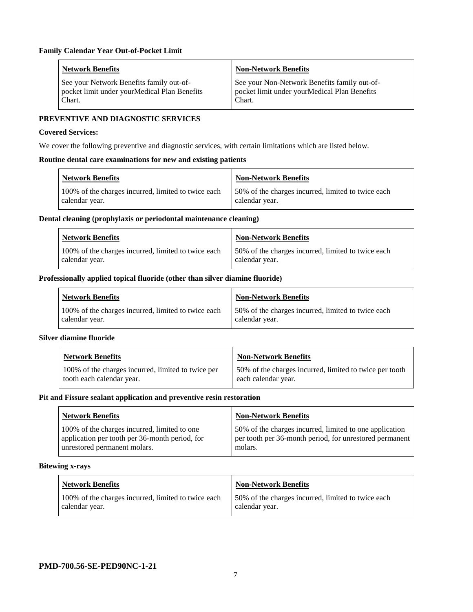| <b>Network Benefits</b>                      | <b>Non-Network Benefits</b>                  |
|----------------------------------------------|----------------------------------------------|
| See your Network Benefits family out-of-     | See your Non-Network Benefits family out-of- |
| pocket limit under yourMedical Plan Benefits | pocket limit under yourMedical Plan Benefits |
| Chart.                                       | Chart.                                       |

## **PREVENTIVE AND DIAGNOSTIC SERVICES**

#### **Covered Services:**

We cover the following preventive and diagnostic services, with certain limitations which are listed below.

#### **Routine dental care examinations for new and existing patients**

| <b>Network Benefits</b>                                               | <b>Non-Network Benefits</b>                                          |
|-----------------------------------------------------------------------|----------------------------------------------------------------------|
| 100% of the charges incurred, limited to twice each<br>calendar year. | 50% of the charges incurred, limited to twice each<br>calendar year. |

#### **Dental cleaning (prophylaxis or periodontal maintenance cleaning)**

| <b>Network Benefits</b>                                               | <b>Non-Network Benefits</b>                                          |
|-----------------------------------------------------------------------|----------------------------------------------------------------------|
| 100% of the charges incurred, limited to twice each<br>calendar year. | 50% of the charges incurred, limited to twice each<br>calendar year. |

#### **Professionally applied topical fluoride (other than silver diamine fluoride)**

| Network Benefits                                                      | Non-Network Benefits                                                  |
|-----------------------------------------------------------------------|-----------------------------------------------------------------------|
| 100% of the charges incurred, limited to twice each<br>calendar year. | 150% of the charges incurred, limited to twice each<br>calendar year. |

## **Silver diamine fluoride**

| <b>Network Benefits</b>                                                         | <b>Non-Network Benefits</b>                                                    |
|---------------------------------------------------------------------------------|--------------------------------------------------------------------------------|
| 100% of the charges incurred, limited to twice per<br>tooth each calendar year. | 50% of the charges incurred, limited to twice per tooth<br>each calendar year. |

#### **Pit and Fissure sealant application and preventive resin restoration**

| <b>Network Benefits</b>                                                                                                        | <b>Non-Network Benefits</b>                                                                                                   |
|--------------------------------------------------------------------------------------------------------------------------------|-------------------------------------------------------------------------------------------------------------------------------|
| 100% of the charges incurred, limited to one<br>application per tooth per 36-month period, for<br>unrestored permanent molars. | 50% of the charges incurred, limited to one application<br>per tooth per 36-month period, for unrestored permanent<br>molars. |

#### **Bitewing x-rays**

| Network Benefits                                                      | <b>Non-Network Benefits</b>                                          |
|-----------------------------------------------------------------------|----------------------------------------------------------------------|
| 100% of the charges incurred, limited to twice each<br>calendar year. | 50% of the charges incurred, limited to twice each<br>calendar year. |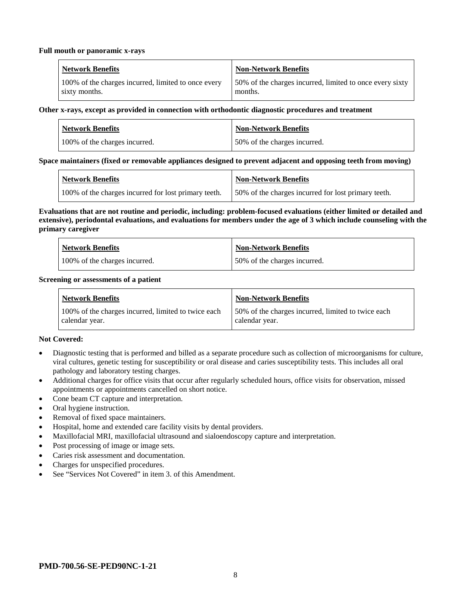#### **Full mouth or panoramic x-rays**

| <b>Network Benefits</b>                             | Non-Network Benefits                                     |
|-----------------------------------------------------|----------------------------------------------------------|
| 100% of the charges incurred, limited to once every | 50% of the charges incurred, limited to once every sixty |
| sixty months.                                       | months.                                                  |

#### **Other x-rays, except as provided in connection with orthodontic diagnostic procedures and treatment**

| <b>Network Benefits</b>       | <b>Non-Network Benefits</b>  |
|-------------------------------|------------------------------|
| 100% of the charges incurred. | 50% of the charges incurred. |

### **Space maintainers (fixed or removable appliances designed to prevent adjacent and opposing teeth from moving)**

| <b>Network Benefits</b>                              | <b>Non-Network Benefits</b>                         |
|------------------------------------------------------|-----------------------------------------------------|
| 100% of the charges incurred for lost primary teeth. | 50% of the charges incurred for lost primary teeth. |

#### **Evaluations that are not routine and periodic, including: problem-focused evaluations (either limited or detailed and extensive), periodontal evaluations, and evaluations for members under the age of 3 which include counseling with the primary caregiver**

| <b>Network Benefits</b>       | <b>Non-Network Benefits</b>  |
|-------------------------------|------------------------------|
| 100% of the charges incurred. | 50% of the charges incurred. |

#### **Screening or assessments of a patient**

| <b>Network Benefits</b>                                               | <b>Non-Network Benefits</b>                                          |
|-----------------------------------------------------------------------|----------------------------------------------------------------------|
| 100% of the charges incurred, limited to twice each<br>calendar year. | 50% of the charges incurred, limited to twice each<br>calendar year. |

### **Not Covered:**

- Diagnostic testing that is performed and billed as a separate procedure such as collection of microorganisms for culture, viral cultures, genetic testing for susceptibility or oral disease and caries susceptibility tests. This includes all oral pathology and laboratory testing charges.
- Additional charges for office visits that occur after regularly scheduled hours, office visits for observation, missed appointments or appointments cancelled on short notice.
- Cone beam CT capture and interpretation.
- Oral hygiene instruction.
- Removal of fixed space maintainers.
- Hospital, home and extended care facility visits by dental providers.
- Maxillofacial MRI, maxillofacial ultrasound and sialoendoscopy capture and interpretation.
- Post processing of image or image sets.
- Caries risk assessment and documentation.
- Charges for unspecified procedures.
- See "Services Not Covered" in item 3. of this Amendment.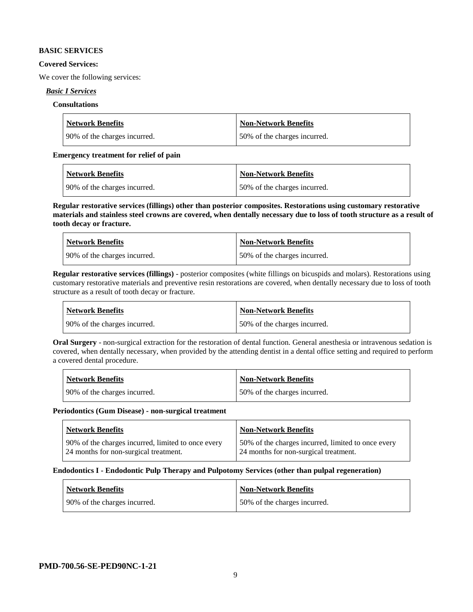#### **BASIC SERVICES**

#### **Covered Services:**

We cover the following services:

### *Basic I Services*

## **Consultations**

| <b>Network Benefits</b>      | <b>Non-Network Benefits</b>  |
|------------------------------|------------------------------|
| 90% of the charges incurred. | 50% of the charges incurred. |

#### **Emergency treatment for relief of pain**

| <b>Network Benefits</b>       | <b>Non-Network Benefits</b>  |
|-------------------------------|------------------------------|
| 190% of the charges incurred. | 50% of the charges incurred. |

**Regular restorative services (fillings) other than posterior composites. Restorations using customary restorative materials and stainless steel crowns are covered, when dentally necessary due to loss of tooth structure as a result of tooth decay or fracture.**

| <b>Network Benefits</b>        | <b>Non-Network Benefits</b>  |
|--------------------------------|------------------------------|
| 1 90% of the charges incurred. | 50% of the charges incurred. |

**Regular restorative services (fillings)** - posterior composites (white fillings on bicuspids and molars). Restorations using customary restorative materials and preventive resin restorations are covered, when dentally necessary due to loss of tooth structure as a result of tooth decay or fracture.

| Network Benefits               | <b>Non-Network Benefits</b>  |
|--------------------------------|------------------------------|
| 1 90% of the charges incurred. | 50% of the charges incurred. |

**Oral Surgery** - non-surgical extraction for the restoration of dental function. General anesthesia or intravenous sedation is covered, when dentally necessary, when provided by the attending dentist in a dental office setting and required to perform a covered dental procedure.

| Network Benefits              | <b>Non-Network Benefits</b>  |
|-------------------------------|------------------------------|
| 190% of the charges incurred. | 50% of the charges incurred. |

#### **Periodontics (Gum Disease) - non-surgical treatment**

| <b>Network Benefits</b>                            | <b>Non-Network Benefits</b>                        |
|----------------------------------------------------|----------------------------------------------------|
| 90% of the charges incurred, limited to once every | 50% of the charges incurred, limited to once every |
| 24 months for non-surgical treatment.              | 24 months for non-surgical treatment.              |

### **Endodontics I - Endodontic Pulp Therapy and Pulpotomy Services (other than pulpal regeneration)**

| <b>Network Benefits</b>      | <b>Non-Network Benefits</b>  |
|------------------------------|------------------------------|
| 90% of the charges incurred. | 50% of the charges incurred. |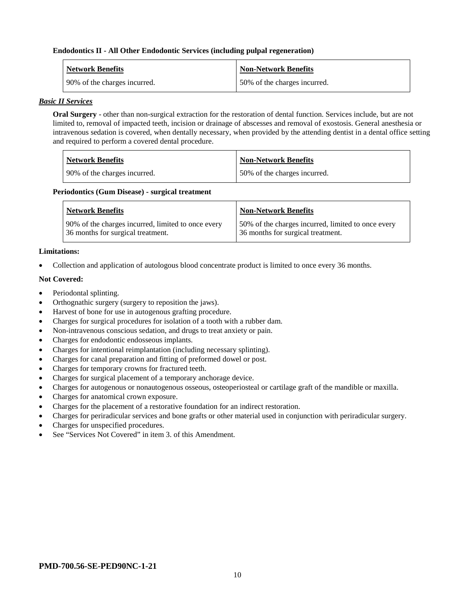#### **Endodontics II - All Other Endodontic Services (including pulpal regeneration)**

| <b>Network Benefits</b>      | <b>Non-Network Benefits</b>  |
|------------------------------|------------------------------|
| 90% of the charges incurred. | 50% of the charges incurred. |

#### *Basic II Services*

**Oral Surgery** - other than non-surgical extraction for the restoration of dental function. Services include, but are not limited to, removal of impacted teeth, incision or drainage of abscesses and removal of exostosis. General anesthesia or intravenous sedation is covered, when dentally necessary, when provided by the attending dentist in a dental office setting and required to perform a covered dental procedure.

| Network Benefits             | <b>Non-Network Benefits</b>  |
|------------------------------|------------------------------|
| 90% of the charges incurred. | 50% of the charges incurred. |

#### **Periodontics (Gum Disease) - surgical treatment**

| <b>Network Benefits</b>                            | <b>Non-Network Benefits</b>                        |
|----------------------------------------------------|----------------------------------------------------|
| 90% of the charges incurred, limited to once every | 50% of the charges incurred, limited to once every |
| 36 months for surgical treatment.                  | 36 months for surgical treatment.                  |

#### **Limitations:**

• Collection and application of autologous blood concentrate product is limited to once every 36 months.

#### **Not Covered:**

- Periodontal splinting.
- Orthognathic surgery (surgery to reposition the jaws).
- Harvest of bone for use in autogenous grafting procedure.
- Charges for surgical procedures for isolation of a tooth with a rubber dam.
- Non-intravenous conscious sedation, and drugs to treat anxiety or pain.
- Charges for endodontic endosseous implants.
- Charges for intentional reimplantation (including necessary splinting).
- Charges for canal preparation and fitting of preformed dowel or post.
- Charges for temporary crowns for fractured teeth.
- Charges for surgical placement of a temporary anchorage device.
- Charges for autogenous or nonautogenous osseous, osteoperiosteal or cartilage graft of the mandible or maxilla.
- Charges for anatomical crown exposure.
- Charges for the placement of a restorative foundation for an indirect restoration.
- Charges for periradicular services and bone grafts or other material used in conjunction with periradicular surgery.
- Charges for unspecified procedures.
- See "Services Not Covered" in item 3, of this Amendment.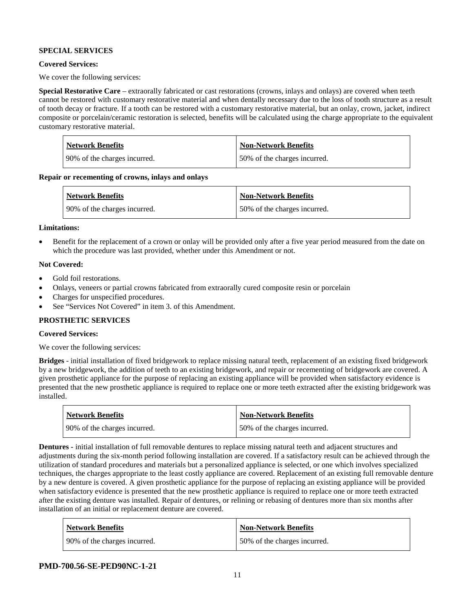## **SPECIAL SERVICES**

## **Covered Services:**

We cover the following services:

**Special Restorative Care** – extraorally fabricated or cast restorations (crowns, inlays and onlays) are covered when teeth cannot be restored with customary restorative material and when dentally necessary due to the loss of tooth structure as a result of tooth decay or fracture. If a tooth can be restored with a customary restorative material, but an onlay, crown, jacket, indirect composite or porcelain/ceramic restoration is selected, benefits will be calculated using the charge appropriate to the equivalent customary restorative material.

| <b>Network Benefits</b>       | <b>Non-Network Benefits</b>  |
|-------------------------------|------------------------------|
| 190% of the charges incurred. | 50% of the charges incurred. |

**Repair or recementing of crowns, inlays and onlays**

| <b>Network Benefits</b>      | <b>Non-Network Benefits</b>   |
|------------------------------|-------------------------------|
| 90% of the charges incurred. | 150% of the charges incurred. |

#### **Limitations:**

• Benefit for the replacement of a crown or onlay will be provided only after a five year period measured from the date on which the procedure was last provided, whether under this Amendment or not.

### **Not Covered:**

- Gold foil restorations.
- Onlays, veneers or partial crowns fabricated from extraorally cured composite resin or porcelain
- Charges for unspecified procedures.
- See "Services Not Covered" in item 3, of this Amendment.

### **PROSTHETIC SERVICES**

## **Covered Services:**

We cover the following services:

**Bridges** - initial installation of fixed bridgework to replace missing natural teeth, replacement of an existing fixed bridgework by a new bridgework, the addition of teeth to an existing bridgework, and repair or recementing of bridgework are covered. A given prosthetic appliance for the purpose of replacing an existing appliance will be provided when satisfactory evidence is presented that the new prosthetic appliance is required to replace one or more teeth extracted after the existing bridgework was installed.

| <b>Network Benefits</b>       | <b>Non-Network Benefits</b>  |
|-------------------------------|------------------------------|
| 190% of the charges incurred. | 50% of the charges incurred. |

**Dentures -** initial installation of full removable dentures to replace missing natural teeth and adjacent structures and adjustments during the six-month period following installation are covered. If a satisfactory result can be achieved through the utilization of standard procedures and materials but a personalized appliance is selected, or one which involves specialized techniques, the charges appropriate to the least costly appliance are covered. Replacement of an existing full removable denture by a new denture is covered. A given prosthetic appliance for the purpose of replacing an existing appliance will be provided when satisfactory evidence is presented that the new prosthetic appliance is required to replace one or more teeth extracted after the existing denture was installed. Repair of dentures, or relining or rebasing of dentures more than six months after installation of an initial or replacement denture are covered.

| <b>Network Benefits</b>      | <b>Non-Network Benefits</b>  |
|------------------------------|------------------------------|
| 90% of the charges incurred. | 50% of the charges incurred. |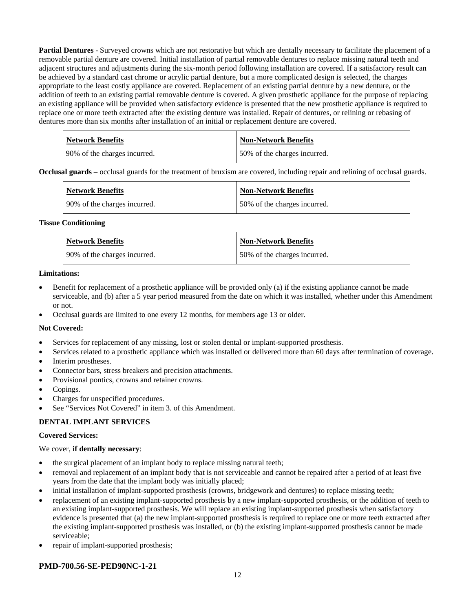**Partial Dentures** - Surveyed crowns which are not restorative but which are dentally necessary to facilitate the placement of a removable partial denture are covered. Initial installation of partial removable dentures to replace missing natural teeth and adjacent structures and adjustments during the six-month period following installation are covered. If a satisfactory result can be achieved by a standard cast chrome or acrylic partial denture, but a more complicated design is selected, the charges appropriate to the least costly appliance are covered. Replacement of an existing partial denture by a new denture, or the addition of teeth to an existing partial removable denture is covered. A given prosthetic appliance for the purpose of replacing an existing appliance will be provided when satisfactory evidence is presented that the new prosthetic appliance is required to replace one or more teeth extracted after the existing denture was installed. Repair of dentures, or relining or rebasing of dentures more than six months after installation of an initial or replacement denture are covered.

| <b>Network Benefits</b>       | <b>Non-Network Benefits</b>   |
|-------------------------------|-------------------------------|
| 190% of the charges incurred. | 150% of the charges incurred. |

**Occlusal guards** – occlusal guards for the treatment of bruxism are covered, including repair and relining of occlusal guards.

| <b>Network Benefits</b>      | <b>Non-Network Benefits</b>  |
|------------------------------|------------------------------|
| 90% of the charges incurred. | 50% of the charges incurred. |

#### **Tissue Conditioning**

| <b>Network Benefits</b>      | Non-Network Benefits         |
|------------------------------|------------------------------|
| 90% of the charges incurred. | 50% of the charges incurred. |

#### **Limitations:**

- Benefit for replacement of a prosthetic appliance will be provided only (a) if the existing appliance cannot be made serviceable, and (b) after a 5 year period measured from the date on which it was installed, whether under this Amendment or not.
- Occlusal guards are limited to one every 12 months, for members age 13 or older.

### **Not Covered:**

- Services for replacement of any missing, lost or stolen dental or implant-supported prosthesis.
- Services related to a prosthetic appliance which was installed or delivered more than 60 days after termination of coverage.
- Interim prostheses.
- Connector bars, stress breakers and precision attachments.
- Provisional pontics, crowns and retainer crowns.
- Copings.
- Charges for unspecified procedures.
- See "Services Not Covered" in item 3. of this Amendment.

### **DENTAL IMPLANT SERVICES**

#### **Covered Services:**

### We cover, **if dentally necessary**:

- the surgical placement of an implant body to replace missing natural teeth;
- removal and replacement of an implant body that is not serviceable and cannot be repaired after a period of at least five years from the date that the implant body was initially placed;
- initial installation of implant-supported prosthesis (crowns, bridgework and dentures) to replace missing teeth;
- replacement of an existing implant-supported prosthesis by a new implant-supported prosthesis, or the addition of teeth to an existing implant-supported prosthesis. We will replace an existing implant-supported prosthesis when satisfactory evidence is presented that (a) the new implant-supported prosthesis is required to replace one or more teeth extracted after the existing implant-supported prosthesis was installed, or (b) the existing implant-supported prosthesis cannot be made serviceable;
- repair of implant-supported prosthesis;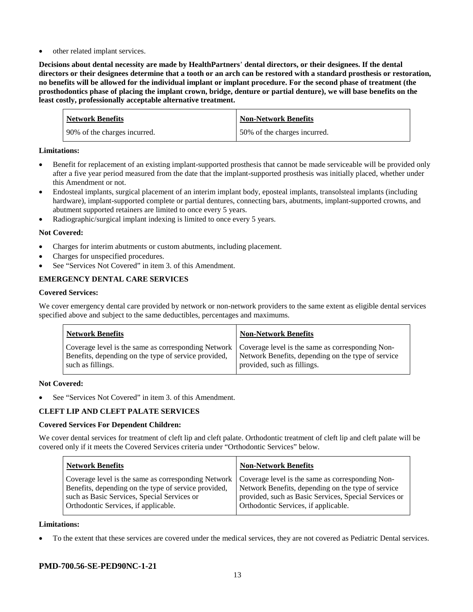other related implant services.

**Decisions about dental necessity are made by HealthPartners**' **dental directors, or their designees. If the dental directors or their designees determine that a tooth or an arch can be restored with a standard prosthesis or restoration, no benefits will be allowed for the individual implant or implant procedure. For the second phase of treatment (the prosthodontics phase of placing the implant crown, bridge, denture or partial denture), we will base benefits on the least costly, professionally acceptable alternative treatment.**

| <b>Network Benefits</b>      | <b>Non-Network Benefits</b>  |
|------------------------------|------------------------------|
| 90% of the charges incurred. | 50% of the charges incurred. |

## **Limitations:**

- Benefit for replacement of an existing implant-supported prosthesis that cannot be made serviceable will be provided only after a five year period measured from the date that the implant-supported prosthesis was initially placed, whether under this Amendment or not.
- Endosteal implants, surgical placement of an interim implant body, eposteal implants, transolsteal implants (including hardware), implant-supported complete or partial dentures, connecting bars, abutments, implant-supported crowns, and abutment supported retainers are limited to once every 5 years.
- Radiographic/surgical implant indexing is limited to once every 5 years.

## **Not Covered:**

- Charges for interim abutments or custom abutments, including placement.
- Charges for unspecified procedures.
- See "Services Not Covered" in item 3. of this Amendment.

## **EMERGENCY DENTAL CARE SERVICES**

### **Covered Services:**

We cover emergency dental care provided by network or non-network providers to the same extent as eligible dental services specified above and subject to the same deductibles, percentages and maximums.

| <b>Network Benefits</b>                                                                                                                                                             | <b>Non-Network Benefits</b>                                                       |
|-------------------------------------------------------------------------------------------------------------------------------------------------------------------------------------|-----------------------------------------------------------------------------------|
| Coverage level is the same as corresponding Network   Coverage level is the same as corresponding Non-<br>Benefits, depending on the type of service provided,<br>such as fillings. | Network Benefits, depending on the type of service<br>provided, such as fillings. |

### **Not Covered:**

See "Services Not Covered" in item 3. of this Amendment.

## **CLEFT LIP AND CLEFT PALATE SERVICES**

### **Covered Services For Dependent Children:**

We cover dental services for treatment of cleft lip and cleft palate. Orthodontic treatment of cleft lip and cleft palate will be covered only if it meets the Covered Services criteria under "Orthodontic Services" below.

| <b>Network Benefits</b>                              | <b>Non-Network Benefits</b>                           |
|------------------------------------------------------|-------------------------------------------------------|
| Coverage level is the same as corresponding Network  | Coverage level is the same as corresponding Non-      |
| Benefits, depending on the type of service provided, | Network Benefits, depending on the type of service    |
| such as Basic Services, Special Services or          | provided, such as Basic Services, Special Services or |
| Orthodontic Services, if applicable.                 | Orthodontic Services, if applicable.                  |

### **Limitations:**

• To the extent that these services are covered under the medical services, they are not covered as Pediatric Dental services.